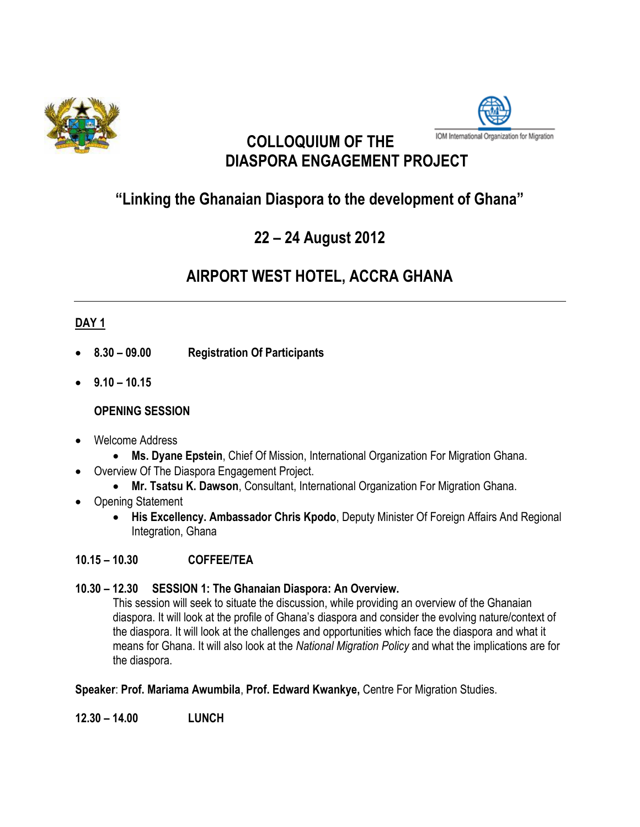



## **COLLOQUIUM OF THE DIASPORA ENGAGEMENT PROJECT**

## **"Linking the Ghanaian Diaspora to the development of Ghana"**

# **22 – 24 August 2012**

# **AIRPORT WEST HOTEL, ACCRA GHANA**

## **DAY 1**

- **8.30 – 09.00 Registration Of Participants**
- **9.10 – 10.15**

## **OPENING SESSION**

- Welcome Address
	- **Ms. Dyane Epstein**, Chief Of Mission, International Organization For Migration Ghana.
- Overview Of The Diaspora Engagement Project.
	- **Mr. Tsatsu K. Dawson**, Consultant, International Organization For Migration Ghana.
- Opening Statement
	- **His Excellency. Ambassador Chris Kpodo**, Deputy Minister Of Foreign Affairs And Regional Integration, Ghana

## **10.15 – 10.30 COFFEE/TEA**

## **10.30 – 12.30 SESSION 1: The Ghanaian Diaspora: An Overview.**

This session will seek to situate the discussion, while providing an overview of the Ghanaian diaspora. It will look at the profile of Ghana's diaspora and consider the evolving nature/context of the diaspora. It will look at the challenges and opportunities which face the diaspora and what it means for Ghana. It will also look at the *National Migration Policy* and what the implications are for the diaspora.

## **Speaker**: **Prof. Mariama Awumbila**, **Prof. Edward Kwankye,** Centre For Migration Studies.

**12.30 – 14.00 LUNCH**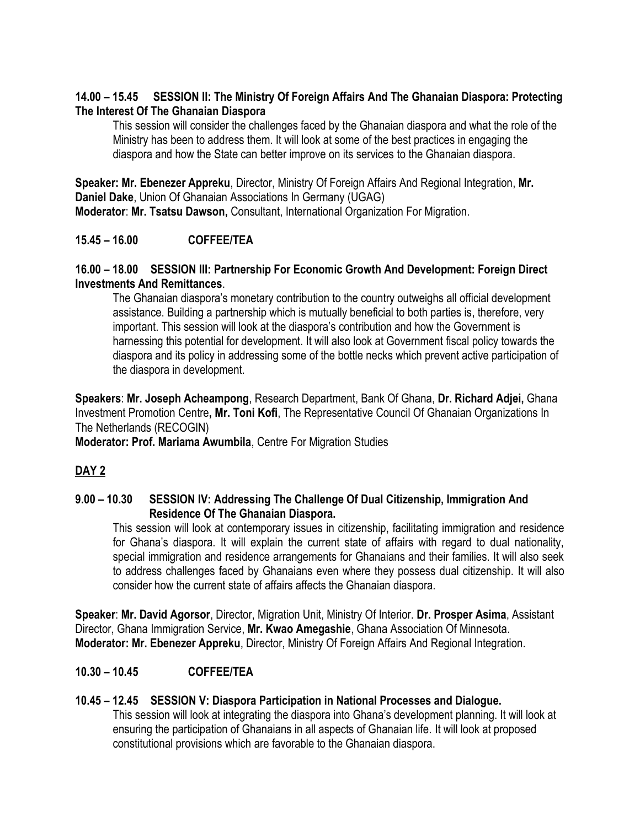### **14.00 – 15.45 SESSION II: The Ministry Of Foreign Affairs And The Ghanaian Diaspora: Protecting The Interest Of The Ghanaian Diaspora**

This session will consider the challenges faced by the Ghanaian diaspora and what the role of the Ministry has been to address them. It will look at some of the best practices in engaging the diaspora and how the State can better improve on its services to the Ghanaian diaspora.

**Speaker: Mr. Ebenezer Appreku**, Director, Ministry Of Foreign Affairs And Regional Integration, **Mr. Daniel Dake**, Union Of Ghanaian Associations In Germany (UGAG) **Moderator**: **Mr. Tsatsu Dawson,** Consultant, International Organization For Migration.

## **15.45 – 16.00 COFFEE/TEA**

### **16.00 – 18.00 SESSION III: Partnership For Economic Growth And Development: Foreign Direct Investments And Remittances**.

The Ghanaian diaspora's monetary contribution to the country outweighs all official development assistance. Building a partnership which is mutually beneficial to both parties is, therefore, very important. This session will look at the diaspora's contribution and how the Government is harnessing this potential for development. It will also look at Government fiscal policy towards the diaspora and its policy in addressing some of the bottle necks which prevent active participation of the diaspora in development.

**Speakers**: **Mr. Joseph Acheampong**, Research Department, Bank Of Ghana, **Dr. Richard Adjei,** Ghana Investment Promotion Centre**, Mr. Toni Kofi**, The Representative Council Of Ghanaian Organizations In The Netherlands (RECOGIN)

**Moderator: Prof. Mariama Awumbila**, Centre For Migration Studies

## **DAY 2**

#### **9.00 – 10.30 SESSION IV: Addressing The Challenge Of Dual Citizenship, Immigration And Residence Of The Ghanaian Diaspora.**

This session will look at contemporary issues in citizenship, facilitating immigration and residence for Ghana's diaspora. It will explain the current state of affairs with regard to dual nationality, special immigration and residence arrangements for Ghanaians and their families. It will also seek to address challenges faced by Ghanaians even where they possess dual citizenship. It will also consider how the current state of affairs affects the Ghanaian diaspora.

**Speaker**: **Mr. David Agorsor**, Director, Migration Unit, Ministry Of Interior. **Dr. Prosper Asima**, Assistant Director, Ghana Immigration Service, **Mr. Kwao Amegashie**, Ghana Association Of Minnesota. **Moderator: Mr. Ebenezer Appreku**, Director, Ministry Of Foreign Affairs And Regional Integration.

## **10.30 – 10.45 COFFEE/TEA**

## **10.45 – 12.45 SESSION V: Diaspora Participation in National Processes and Dialogue.**

This session will look at integrating the diaspora into Ghana's development planning. It will look at ensuring the participation of Ghanaians in all aspects of Ghanaian life. It will look at proposed constitutional provisions which are favorable to the Ghanaian diaspora.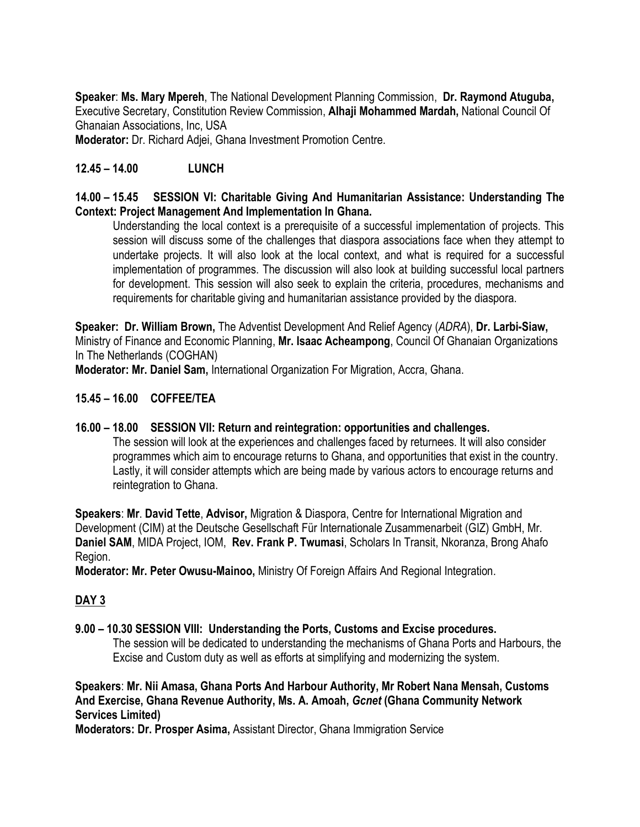**Speaker**: **Ms. Mary Mpereh**, The National Development Planning Commission, **Dr. Raymond Atuguba,** Executive Secretary, Constitution Review Commission, **Alhaji Mohammed Mardah,** National Council Of Ghanaian Associations, Inc, USA

**Moderator:** Dr. Richard Adjei, Ghana Investment Promotion Centre.

### **12.45 – 14.00 LUNCH**

#### **14.00 – 15.45 SESSION VI: Charitable Giving And Humanitarian Assistance: Understanding The Context: Project Management And Implementation In Ghana.**

Understanding the local context is a prerequisite of a successful implementation of projects. This session will discuss some of the challenges that diaspora associations face when they attempt to undertake projects. It will also look at the local context, and what is required for a successful implementation of programmes. The discussion will also look at building successful local partners for development. This session will also seek to explain the criteria, procedures, mechanisms and requirements for charitable giving and humanitarian assistance provided by the diaspora.

**Speaker: Dr. William Brown,** The Adventist Development And Relief Agency (*ADRA*), **Dr. Larbi-Siaw,** Ministry of Finance and Economic Planning, **Mr. Isaac Acheampong**, [Council Of Ghanaian Organizations](http://www.ghanaembassy.nl/index.php/ghanaian-community/organisations/137-council-of-ghanaian-organisations-in-the-netherlands-coghan.html) [In The Netherlands \(COGHAN\)](http://www.ghanaembassy.nl/index.php/ghanaian-community/organisations/137-council-of-ghanaian-organisations-in-the-netherlands-coghan.html)

**Moderator: Mr. Daniel Sam,** International Organization For Migration, Accra, Ghana.

## **15.45 – 16.00 COFFEE/TEA**

#### **16.00 – 18.00 SESSION VII: Return and reintegration: opportunities and challenges.**

The session will look at the experiences and challenges faced by returnees. It will also consider programmes which aim to encourage returns to Ghana, and opportunities that exist in the country. Lastly, it will consider attempts which are being made by various actors to encourage returns and reintegration to Ghana.

**Speakers**: **Mr**. **David Tette**, **Advisor,** Migration & Diaspora, Centre for International Migration and Development (CIM) at the Deutsche Gesellschaft Für Internationale Zusammenarbeit (GIZ) GmbH, Mr. **Daniel SAM**, MIDA Project, IOM, **Rev. Frank P. Twumasi**, Scholars In Transit, Nkoranza, Brong Ahafo Region.

**Moderator: Mr. Peter Owusu-Mainoo,** Ministry Of Foreign Affairs And Regional Integration.

## **DAY 3**

#### **9.00 – 10.30 SESSION VIII: Understanding the Ports, Customs and Excise procedures.**

The session will be dedicated to understanding the mechanisms of Ghana Ports and Harbours, the Excise and Custom duty as well as efforts at simplifying and modernizing the system.

**Speakers**: **Mr. Nii Amasa, Ghana Ports And Harbour Authority, Mr Robert Nana Mensah, Customs And Exercise, Ghana Revenue Authority, Ms. A. Amoah,** *Gcnet* **(Ghana Community Network Services Limited)**

**Moderators: Dr. Prosper Asima,** Assistant Director, Ghana Immigration Service